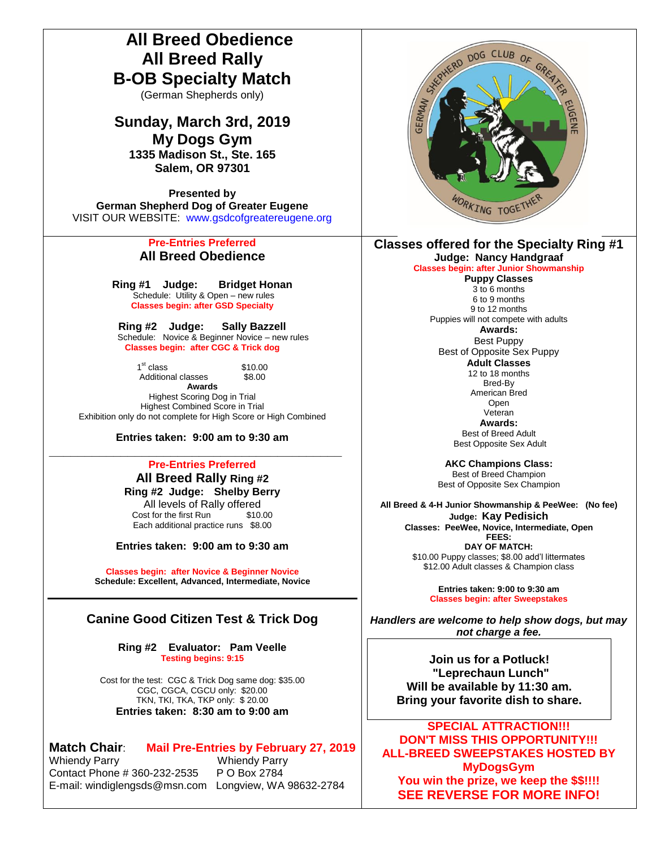## **All Breed Obedience All Breed Rally B-OB Specialty Match**

(German Shepherds only)

# **Sunday, March 3rd, 2019**

**My Dogs Gym 1335 Madison St., Ste. 165 Salem, OR 97301**

**Presented by German Shepherd Dog of Greater Eugene** VISIT OUR WEBSITE: [www.gsdcofgreatereugene.org](http://www.gsdcofgreatereugene.org/)

### **Pre-Entries Preferred All Breed Obedience**

**Ring #1 Judge: Bridget Honan** Schedule: Utility & Open – new rules **Classes begin: after GSD Specialty**

**Ring #2 Judge: Sally Bazzell** Schedule: Novice & Beginner Novice – new rules **Classes begin: after CGC & Trick dog**

> $1<sup>st</sup>$  class \$10.00 Additional classes \$8.00

**Awards** Highest Scoring Dog in Trial Highest Combined Score in Trial Exhibition only do not complete for High Score or High Combined

**Entries taken: 9:00 am to 9:30 am**

#### **\_\_\_\_\_\_\_\_\_\_\_\_\_\_\_\_\_\_\_\_\_\_\_\_\_\_\_\_\_\_\_\_\_\_\_\_\_\_\_\_\_ Pre-Entries Preferred**

**All Breed Rally Ring #2 Ring #2 Judge: Shelby Berry** All levels of Rally offered<br>st for the first Run \$10.00 Cost for the first Run

Each additional practice runs \$8.00

**Entries taken: 9:00 am to 9:30 am**

**Classes begin: after Novice & Beginner Novice Schedule: Excellent, Advanced, Intermediate, Novice**

## **Canine Good Citizen Test & Trick Dog**

**Ring #2 Evaluator: Pam Veelle Testing begins: 9:15**

Cost for the test: CGC & Trick Dog same dog: \$35.00 CGC, CGCA, CGCU only: \$20.00 TKN, TKI, TKA, TKP only: \$ 20.00 **Entries taken: 8:30 am to 9:00 am**

# **Match Chair: Mail Pre-Entries by February 27, 2019**<br>Whiendy Parry **Mail Pre-Entries by Ferry**

Contact Phone # 360-232-2535 P O Box 2784 E-mail: windiglengsds@msn.com Longview, WA 98632-2784

Whiendy Parry



#### **Classes offered for the Specialty Ring #1 Judge: Nancy Handgraaf**

**Classes begin: after Junior Showmanship**

**Puppy Classes** 3 to 6 months 6 to 9 months

9 to 12 months Puppies will not compete with adults

**Awards:** Best Puppy Best of Opposite Sex Puppy **Adult Classes** 12 to 18 months Bred-By

> American Bred Open

Veteran **Awards:** Best of Breed Adult

Best Opposite Sex Adult

**AKC Champions Class:** Best of Breed Champion Best of Opposite Sex Champion

**All Breed & 4-H Junior Showmanship & PeeWee: (No fee) Judge: Kay Pedisich Classes: PeeWee, Novice, Intermediate, Open FEES: DAY OF MATCH:**  \$10.00 Puppy classes; \$8.00 add'l littermates \$12.00 Adult classes & Champion class

> **Entries taken: 9:00 to 9:30 am Classes begin: after Sweepstakes**

*Handlers are welcome to help show dogs, but may not charge a fee.* 

> **Join us for a Potluck! "Leprechaun Lunch" Will be available by 11:30 am. Bring your favorite dish to share.**

**SPECIAL ATTRACTION!!! DON'T MISS THIS OPPORTUNITY!!! ALL-BREED SWEEPSTAKES HOSTED BY MyDogsGym You win the prize, we keep the \$\$!!!! SEE REVERSE FOR MORE INFO!**